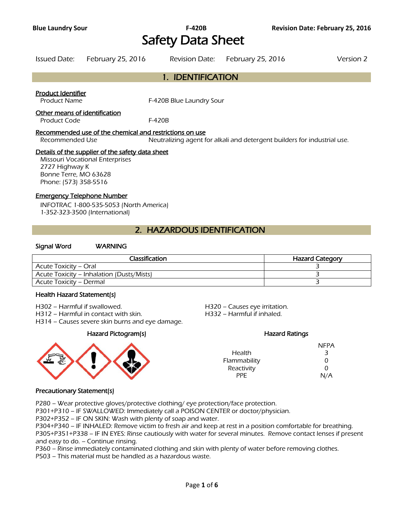# Safety Data Sheet

| Issued Date: February 25, 2016 | Revision Date: February 25, 2016 | Version 2 |
|--------------------------------|----------------------------------|-----------|

#### 1. IDENTIFICATION

#### Product Identifier

Product Name F-420B Blue Laundry Sour

#### Other means of identification

Product Code F-420B

#### Recommended use of the chemical and restrictions on use

Recommended Use Neutralizing agent for alkali and detergent builders for industrial use.

#### Details of the supplier of the safety data sheet

Missouri Vocational Enterprises 2727 Highway K Bonne Terre, MO 63628 Phone: (573) 358-5516

#### Emergency Telephone Number

INFOTRAC 1-800-535-5053 (North America) 1-352-323-3500 (International)

#### 2. HAZARDOUS IDENTIFICATION

#### Signal Word WARNING

| Classification                            | <b>Hazard Category</b> |
|-------------------------------------------|------------------------|
| Acute Toxicity – Oral                     |                        |
| Acute Toxicity – Inhalation (Dusts/Mists) |                        |
| Acute Toxicity – Dermal                   |                        |
|                                           |                        |

#### Health Hazard Statement(s)

H302 – Harmful if swallowed. H320 – Causes eye irritation.

H312 – Harmful in contact with skin. H332 – Harmful if inhaled.

H314 – Causes severe skin burns and eye damage.

#### Hazard Pictogram(s) Hazard Ratings



|               | <b>NFPA</b> |
|---------------|-------------|
| <b>Health</b> | 3           |
| Flammability  | 0           |
| Reactivity    | O           |
| <b>PPF</b>    | N/A         |

#### Precautionary Statement(s)

P280 – Wear protective gloves/protective clothing/ eye protection/face protection.

P301+P310 – IF SWALLOWED: Immediately call a POISON CENTER or doctor/physician.

P302+P352 – IF ON SKIN: Wash with plenty of soap and water.

P304+P340 – IF INHALED: Remove victim to fresh air and keep at rest in a position comfortable for breathing. P305+P351+P338 – IF IN EYES: Rinse cautiously with water for several minutes. Remove contact lenses if present and easy to do. – Continue rinsing.

P360 – Rinse immediately contaminated clothing and skin with plenty of water before removing clothes.

P503 – This material must be handled as a hazardous waste.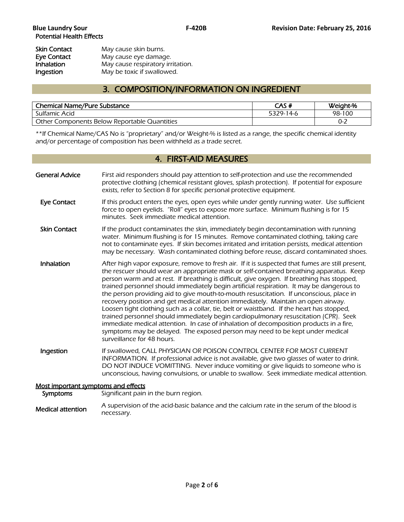| Skin Contact      | May cause skin burns.             |  |
|-------------------|-----------------------------------|--|
| Eye Contact       | May cause eye damage.             |  |
| <b>Inhalation</b> | May cause respiratory irritation. |  |
| Ingestion         | May be toxic if swallowed.        |  |

### 3. COMPOSITION/INFORMATION ON INGREDIENT

| <b>Chemical Name/Pure Substance</b>          | CAS#      | Weight-% |
|----------------------------------------------|-----------|----------|
| Sulfamic Acid                                | 5329-14-6 | 98-100   |
| Other Components Below Reportable Quantities |           | 0-2      |
|                                              |           |          |

\*\*If Chemical Name/CAS No is "proprietary" and/or Weight-% is listed as a range, the specific chemical identity and/or percentage of composition has been withheld as a trade secret.

### 4. FIRST-AID MEASURES

| <b>General Advice</b>                           | First aid responders should pay attention to self-protection and use the recommended<br>protective clothing (chemical resistant gloves, splash protection). If potential for exposure<br>exists, refer to Section 8 for specific personal protective equipment.                                                                                                                                                                                                                                                                                                                                                                                                                                                                                                                                                                                                                                                                                                       |
|-------------------------------------------------|-----------------------------------------------------------------------------------------------------------------------------------------------------------------------------------------------------------------------------------------------------------------------------------------------------------------------------------------------------------------------------------------------------------------------------------------------------------------------------------------------------------------------------------------------------------------------------------------------------------------------------------------------------------------------------------------------------------------------------------------------------------------------------------------------------------------------------------------------------------------------------------------------------------------------------------------------------------------------|
| <b>Eye Contact</b>                              | If this product enters the eyes, open eyes while under gently running water. Use sufficient<br>force to open eyelids. "Roll" eyes to expose more surface. Minimum flushing is for 15<br>minutes. Seek immediate medical attention.                                                                                                                                                                                                                                                                                                                                                                                                                                                                                                                                                                                                                                                                                                                                    |
| <b>Skin Contact</b>                             | If the product contaminates the skin, immediately begin decontamination with running<br>water. Minimum flushing is for 15 minutes. Remove contaminated clothing, taking care<br>not to contaminate eyes. If skin becomes irritated and irritation persists, medical attention<br>may be necessary. Wash contaminated clothing before reuse, discard contaminated shoes.                                                                                                                                                                                                                                                                                                                                                                                                                                                                                                                                                                                               |
| Inhalation                                      | After high vapor exposure, remove to fresh air. If it is suspected that fumes are still present,<br>the rescuer should wear an appropriate mask or self-contained breathing apparatus. Keep<br>person warm and at rest. If breathing is difficult, give oxygen. If breathing has stopped,<br>trained personnel should immediately begin artificial respiration. It may be dangerous to<br>the person providing aid to give mouth-to-mouth resuscitation. If unconscious, place in<br>recovery position and get medical attention immediately. Maintain an open airway.<br>Loosen tight clothing such as a collar, tie, belt or waistband. If the heart has stopped,<br>trained personnel should immediately begin cardiopulmonary resuscitation (CPR). Seek<br>immediate medical attention. In case of inhalation of decomposition products in a fire,<br>symptoms may be delayed. The exposed person may need to be kept under medical<br>surveillance for 48 hours. |
| Ingestion                                       | If swallowed, CALL PHYSICIAN OR POISON CONTROL CENTER FOR MOST CURRENT<br>INFORMATION. If professional advice is not available, give two glasses of water to drink.<br>DO NOT INDUCE VOMITTING. Never induce vomiting or give liquids to someone who is<br>unconscious, having convulsions, or unable to swallow. Seek immediate medical attention.                                                                                                                                                                                                                                                                                                                                                                                                                                                                                                                                                                                                                   |
| Most important symptoms and effects<br>Symptoms | Significant pain in the burn region.                                                                                                                                                                                                                                                                                                                                                                                                                                                                                                                                                                                                                                                                                                                                                                                                                                                                                                                                  |
| <b>Medical attention</b>                        | A supervision of the acid-basic balance and the calcium rate in the serum of the blood is<br>necessary.                                                                                                                                                                                                                                                                                                                                                                                                                                                                                                                                                                                                                                                                                                                                                                                                                                                               |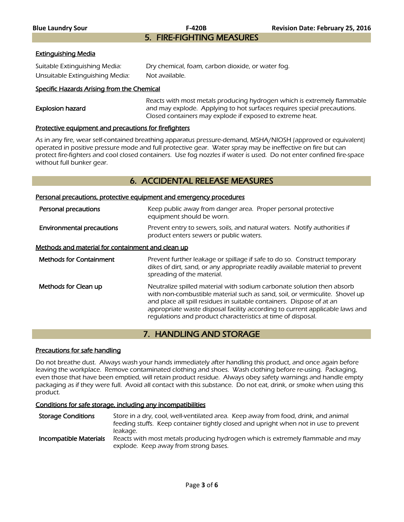5. FIRE-FIGHTING MEASURES

#### Extinguishing Media

| Suitable Extinguishing Media:   | Dry chemical, foam, carbon dioxide, or water fog. |
|---------------------------------|---------------------------------------------------|
| Unsuitable Extinguishing Media: | Not available.                                    |

#### Specific Hazards Arising from the Chemical

|                  | Reacts with most metals producing hydrogen which is extremely flammable |
|------------------|-------------------------------------------------------------------------|
| Explosion hazard | and may explode. Applying to hot surfaces requires special precautions. |
|                  | Closed containers may explode if exposed to extreme heat.               |
|                  |                                                                         |

#### Protective equipment and precautions for firefighters

As in any fire, wear self-contained breathing apparatus pressure-demand, MSHA/NIOSH (approved or equivalent) operated in positive pressure mode and full protective gear. Water spray may be ineffective on fire but can protect fire-fighters and cool closed containers. Use fog nozzles if water is used. Do not enter confined fire-space without full bunker gear.

#### 6. ACCIDENTAL RELEASE MEASURES

#### Personal precautions, protective equipment and emergency procedures

| Personal precautions                              | Keep public away from danger area. Proper personal protective<br>equipment should be worn.                                                                                                                                                                                                                                                                                     |
|---------------------------------------------------|--------------------------------------------------------------------------------------------------------------------------------------------------------------------------------------------------------------------------------------------------------------------------------------------------------------------------------------------------------------------------------|
| <b>Environmental precautions</b>                  | Prevent entry to sewers, soils, and natural waters. Notify authorities if<br>product enters sewers or public waters.                                                                                                                                                                                                                                                           |
| Methods and material for containment and clean up |                                                                                                                                                                                                                                                                                                                                                                                |
| <b>Methods for Containment</b>                    | Prevent further leakage or spillage if safe to do so. Construct temporary<br>dikes of dirt, sand, or any appropriate readily available material to prevent<br>spreading of the material.                                                                                                                                                                                       |
| Methods for Clean up                              | Neutralize spilled material with sodium carbonate solution then absorb<br>with non-combustible material such as sand, soil, or vermiculite. Shovel up<br>and place all spill residues in suitable containers. Dispose of at an<br>appropriate waste disposal facility according to current applicable laws and<br>requlations and product characteristics at time of disposal. |

#### 7. HANDLING AND STORAGE

#### Precautions for safe handling

Do not breathe dust. Always wash your hands immediately after handling this product, and once again before leaving the workplace. Remove contaminated clothing and shoes. Wash clothing before re-using. Packaging, even those that have been emptied, will retain product residue. Always obey safety warnings and handle empty packaging as if they were full. Avoid all contact with this substance. Do not eat, drink, or smoke when using this product.

#### Conditions for safe storage, including any incompatibilities

Storage Conditions Store in a dry, cool, well-ventilated area. Keep away from food, drink, and animal feeding stuffs. Keep container tightly closed and upright when not in use to prevent leakage.

Incompatible Materials Reacts with most metals producing hydrogen which is extremely flammable and may explode. Keep away from strong bases.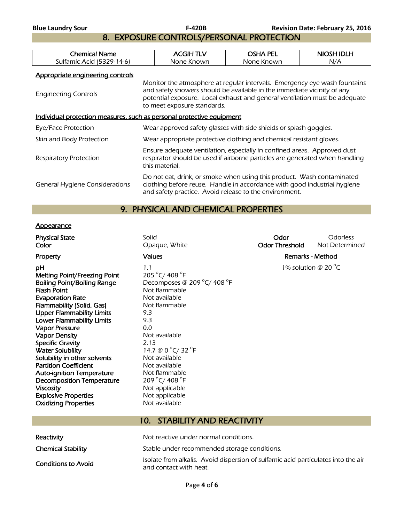8. EXPOSURE CONTROLS/PERSONAL PROTECTION

| Chemical<br>Name                   | $C$ $H$    | מ⊔י∩<br>PEL | <b>IDLH</b><br><b>NIOSH</b> |
|------------------------------------|------------|-------------|-----------------------------|
| Sulfamic A<br>-4-6<br>79-.<br>Acid | None Known | None Known  | N/A                         |
|                                    |            |             |                             |

Appropriate engineering controls

| <b>Engineering Controls</b>                                           | Monitor the atmosphere at regular intervals. Emergency eye wash fountains<br>and safety showers should be available in the immediate vicinity of any<br>potential exposure. Local exhaust and general ventilation must be adequate<br>to meet exposure standards. |
|-----------------------------------------------------------------------|-------------------------------------------------------------------------------------------------------------------------------------------------------------------------------------------------------------------------------------------------------------------|
| Individual protection measures, such as personal protective equipment |                                                                                                                                                                                                                                                                   |
| Eye/Face Protection                                                   | Wear approved safety glasses with side shields or splash goggles.                                                                                                                                                                                                 |
| Skin and Body Protection                                              | Wear appropriate protective clothing and chemical resistant gloves.                                                                                                                                                                                               |
| <b>Respiratory Protection</b>                                         | Ensure adequate ventilation, especially in confined areas. Approved dust<br>respirator should be used if airborne particles are generated when handling<br>this material.                                                                                         |
| <b>General Hygiene Considerations</b>                                 | Do not eat, drink, or smoke when using this product. Wash contaminated<br>clothing before reuse. Handle in accordance with good industrial hygiene<br>and safety practice. Avoid release to the environment.                                                      |

### 9. PHYSICAL AND CHEMICAL PROPERTIES

#### **Appearance**

| <b>Physical State</b><br>Color                                                                                                                                                                                                                                                                                                                                                                                                                                                                                                                                  | Solid<br>Opaque, White                                                                                                                                                                                                                                                                                | Odor<br><b>Odor Threshold</b> | <b>Odorless</b><br>Not Determined |
|-----------------------------------------------------------------------------------------------------------------------------------------------------------------------------------------------------------------------------------------------------------------------------------------------------------------------------------------------------------------------------------------------------------------------------------------------------------------------------------------------------------------------------------------------------------------|-------------------------------------------------------------------------------------------------------------------------------------------------------------------------------------------------------------------------------------------------------------------------------------------------------|-------------------------------|-----------------------------------|
| <b>Property</b>                                                                                                                                                                                                                                                                                                                                                                                                                                                                                                                                                 | <b>Values</b>                                                                                                                                                                                                                                                                                         | <b>Remarks - Method</b>       |                                   |
| рH<br><b>Melting Point/Freezing Point</b><br><b>Boiling Point/Boiling Range</b><br><b>Flash Point</b><br><b>Evaporation Rate</b><br>Flammability (Solid, Gas)<br><b>Upper Flammability Limits</b><br><b>Lower Flammability Limits</b><br><b>Vapor Pressure</b><br>Vapor Density<br><b>Specific Gravity</b><br><b>Water Solubility</b><br>Solubility in other solvents<br><b>Partition Coefficient</b><br><b>Auto-ignition Temperature</b><br><b>Decomposition Temperature</b><br><b>Viscosity</b><br><b>Explosive Properties</b><br><b>Oxidizing Properties</b> | 1.1<br>205 °C/ 408 °F<br>Decomposes @ 209 °C/ 408 °F<br>Not flammable<br>Not available<br>Not flammable<br>9.3<br>9.3<br>0.0<br>Not available<br>2.13<br>14.7 @ 0 °C/ 32 °F<br>Not available<br>Not available<br>Not flammable<br>209 °C/ 408 °F<br>Not applicable<br>Not applicable<br>Not available |                               | 1% solution @ 20 $^{\circ}$ C     |
|                                                                                                                                                                                                                                                                                                                                                                                                                                                                                                                                                                 |                                                                                                                                                                                                                                                                                                       |                               |                                   |

## 10. STABILITY AND REACTIVITY Reactivity Not reactive under normal conditions.

| <b>INCEICLIVILY</b>        | . נו ושווש בשוואר ווי הוא האו האו האו האו הא                                                                |
|----------------------------|-------------------------------------------------------------------------------------------------------------|
| <b>Chemical Stability</b>  | Stable under recommended storage conditions.                                                                |
| <b>Conditions to Avoid</b> | Isolate from alkalis. Avoid dispersion of sulfamic acid particulates into the air<br>and contact with heat. |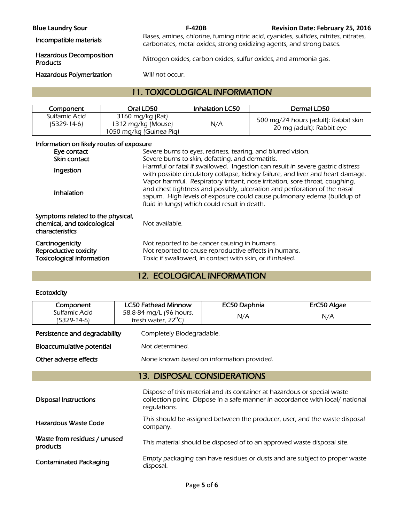**Blue Laundry Sour F-420B Revision Date: February 25, 2016** 

Incompatible materials Bases, amines, chlorine, fuming nitric acid, cyanides, sulfides, nitrites, nitrates, nitrates, carbonates, metal oxides, strong oxidizing agents, and strong bases.

## Hazardous Decomposition

Nitrogen oxides, carbon oxides, sulfur oxides, and ammonia gas.

Hazardous Polymerization Will not occur.

### 11. TOXICOLOGICAL INFORMATION

| Component                    | Oral LD50                                                         | <b>Inhalation LC50</b> | Dermal LD50                                                       |
|------------------------------|-------------------------------------------------------------------|------------------------|-------------------------------------------------------------------|
| Sulfamic Acid<br>(5329-14-6) | 3160 mg/kg (Rat)<br>1312 mg/kg (Mouse)<br>1050 mg/kg (Guinea Pig) | N/A                    | 500 mg/24 hours (adult): Rabbit skin<br>20 mg (adult): Rabbit eye |

#### Information on likely routes of exposure

| Eye contact<br>Skin contact                                                         | Severe burns to eyes, redness, tearing, and blurred vision.<br>Severe burns to skin, defatting, and dermatitis.                                                                                                                                                                     |
|-------------------------------------------------------------------------------------|-------------------------------------------------------------------------------------------------------------------------------------------------------------------------------------------------------------------------------------------------------------------------------------|
| Ingestion                                                                           | Harmful or fatal if swallowed. Ingestion can result in severe gastric distress<br>with possible circulatory collapse, kidney failure, and liver and heart damage.                                                                                                                   |
| Inhalation                                                                          | Vapor harmful. Respiratory irritant, nose irritation, sore throat, coughing,<br>and chest tightness and possibly, ulceration and perforation of the nasal<br>sapum. High levels of exposure could cause pulmonary edema (buildup of<br>fluid in lungs) which could result in death. |
| Symptoms related to the physical,<br>chemical, and toxicological<br>characteristics | Not available.                                                                                                                                                                                                                                                                      |
| Carcinogenicity<br>Reproductive toxicity<br><b>Toxicological information</b>        | Not reported to be cancer causing in humans.<br>Not reported to cause reproductive effects in humans.<br>Toxic if swallowed, in contact with skin, or if inhaled.                                                                                                                   |

### 12. ECOLOGICAL INFORMATION

#### **Ecotoxicity**

| Component                                | <b>LC50 Fathead Minnow</b>                              | EC50 Daphnia                                                                                                                                              | ErC50 Algae |
|------------------------------------------|---------------------------------------------------------|-----------------------------------------------------------------------------------------------------------------------------------------------------------|-------------|
| Sulfamic Acid<br>(5329-14-6)             | 58.8-84 mg/L (96 hours,<br>fresh water, $22^{\circ}$ C) | N/A                                                                                                                                                       | N/A         |
| Persistence and degradability            | Completely Biodegradable.                               |                                                                                                                                                           |             |
| Bioaccumulative potential                | Not determined.                                         |                                                                                                                                                           |             |
| Other adverse effects                    |                                                         | None known based on information provided.                                                                                                                 |             |
| <b>13. DISPOSAL CONSIDERATIONS</b>       |                                                         |                                                                                                                                                           |             |
| <b>Disposal Instructions</b>             | regulations.                                            | Dispose of this material and its container at hazardous or special waste<br>collection point. Dispose in a safe manner in accordance with local/ national |             |
| Hazardous Waste Code                     | company.                                                | This should be assigned between the producer, user, and the waste disposal                                                                                |             |
| Waste from residues / unused<br>products |                                                         | This material should be disposed of to an approved waste disposal site.                                                                                   |             |
| <b>Contaminated Packaging</b>            | disposal.                                               | Empty packaging can have residues or dusts and are subject to proper waste                                                                                |             |